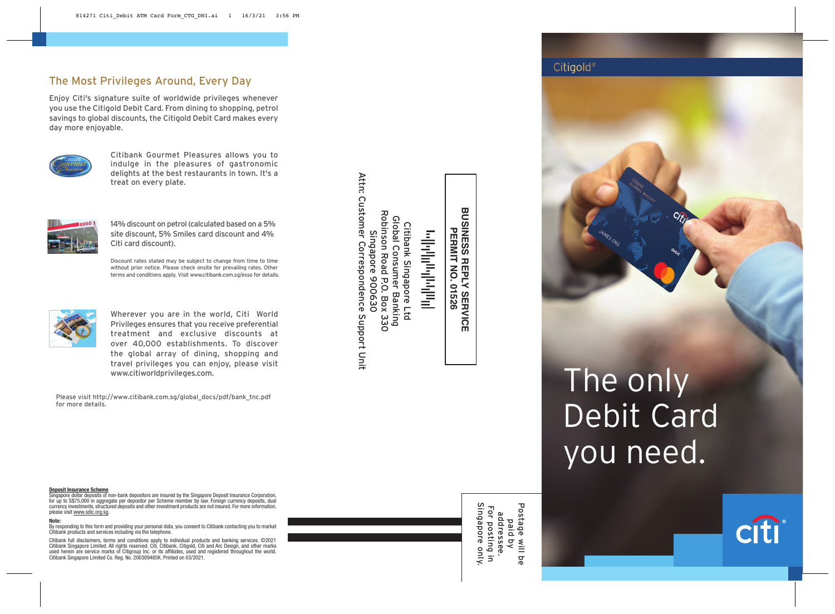# The Most Privileges Around, Every Day

Enjoy Citi's signature suite of worldwide privileges whenever you use the Citigold Debit Card. From dining to shopping, petrol savings to global discounts, the Citigold Debit Card makes every day more enjoyable.



Citibank Gourmet Pleasures allows you to indulge in the pleasures of gastronomic delights at the best restaurants in town. It's a treat on every plate.



14% discount on petrol (calculated based on a 5% site discount, 5% Smiles card discount and 4% Citi card discount).

Discount rates stated may be subject to change from time to time without prior notice. Please check onsite for prevailing rates. Other terms and conditions apply. Visit www.citibank.com.sg/esso for details.



Wherever you are in the world, Citi World Privileges ensures that you receive preferential treatment and exclusive discounts at over 40,000 establishments. To discover the global array of dining, shopping and travel privileges you can enjoy, please visit www.citiworldprivileges.com.

Please visit http://www.citibank.com.sg/global\_docs/pdf/bank\_tnc.pdf for more details.

**Deposit Insurance Scheme** Singapore dollar deposits of non-bank depositors are insured by the Singapore Deposit Insurance Corporation, for up to S\$75,000 in aggregate per depositor per Scheme member by law. Foreign currency deposits, dual currency investments, structured deposits and other investment products are not insured. For more information, please visit www.sdic.org.sg.

#### **Note:**

By responding to this form and providing your personal data, you consent to Citibank contacting you to market Citibank products and services including via the telephone.

Citibank full disclaimers, terms and conditions apply to individual products and banking services. ©2021 Citibank Singapore Limited. All rights reserved. Citi, Citibank, Citigold, Citi and Arc Design, and other marks used herein are service marks of Citigroup Inc. or its affiliates, used and registered throughout the world. Citibank Singapore Limited Co. Reg. No. 200309485K. Printed on 03/2021. Attn: Customer Correspondence Support Unit Attn: Customer Correspondence Support Unit Citibank Singapore Ltd<br>Global Consumer Banking<br>Robinson Road P.O. Box 330<br>Singapore 900630 Robinson Road P.O. Box 330 Global Consumer Banking Citibank Singapore Ltd Singapore 900630

وبالواراني والموالية

**BUSINESS REPLY SERVICE<br>PERMIT NO. 01526 BUSINESS REPLY SERVICE PERMIT NO. 01526**

# The only Debit Card you need.

**Citigold**<sup>®</sup>



Postage will be paid by addressee.

Postage will be